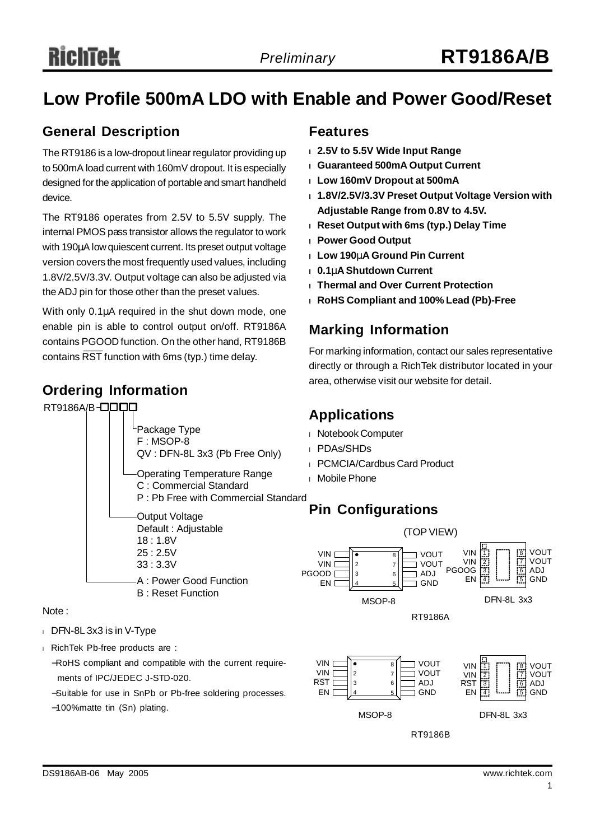## **Low Profile 500mA LDO with Enable and Power Good/Reset**

### **General Description**

The RT9186 is a low-dropout linear regulator providing up to 500mA load current with 160mV dropout. It is especially designed for the application of portable and smart handheld device.

The RT9186 operates from 2.5V to 5.5V supply. The internal PMOS pass transistor allows the regulator to work with 190μA low quiescent current. Its preset output voltage version covers the most frequently used values, including 1.8V/2.5V/3.3V. Output voltage can also be adjusted via theADJ pin for those other than the preset values.

With only 0.1μA required in the shut down mode, one enable pin is able to control output on/off. RT9186A contains PGOOD function. On the other hand, RT9186B contains RST function with 6ms (typ.) time delay.

#### **Ordering Information**



#### Note :

- <sup>l</sup> DFN-8L 3x3 is in V-Type
- <sup>l</sup> RichTek Pb-free products are :
	- −RoHS compliant and compatible with the current requirements of IPC/JEDEC J-STD-020.
	- −Suitable for use in SnPb or Pb-free soldering processes.
	- −100%matte tin (Sn) plating.

#### **Features**

- **<sup>l</sup> 2.5V to 5.5V Wide Input Range**
- **<sup>l</sup> Guaranteed 500mA Output Current**
- **<sup>l</sup> Low 160mV Dropout at 500mA**
- **<sup>l</sup> 1.8V/2.5V/3.3V Preset Output Voltage Version with Adjustable Range from 0.8V to 4.5V.**
- **<sup>l</sup> Reset Output with 6ms (typ.) Delay Time**
- **<sup>l</sup> Power Good Output**
- **<sup>l</sup> Low 190mA Ground Pin Current**
- **<sup>l</sup> 0.1mA Shutdown Current**
- **<sup>l</sup> Thermal and Over Current Protection**
- **<sup>l</sup> RoHS Compliant and 100% Lead (Pb)-Free**

### **Marking Information**

For marking information, contact our sales representative directly or through a RichTek distributor located in your area, otherwise visit our website for detail.

### **Applications**

- <sup>l</sup> Notebook Computer
- <sup>l</sup> PDAs/SHDs
- <sup>l</sup> PCMCIA/Cardbus Card Product
- <sup>l</sup> Mobile Phone

### **Pin Configurations**

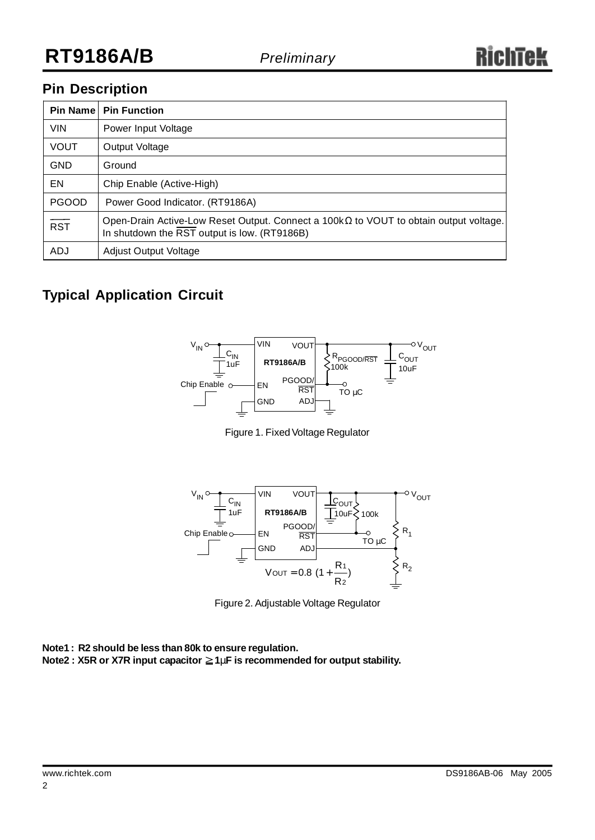### **Pin Description**

| Pin Name     | <b>Pin Function</b>                                                                                                                          |
|--------------|----------------------------------------------------------------------------------------------------------------------------------------------|
| <b>VIN</b>   | Power Input Voltage                                                                                                                          |
| <b>VOUT</b>  | Output Voltage                                                                                                                               |
| <b>GND</b>   | Ground                                                                                                                                       |
| EN           | Chip Enable (Active-High)                                                                                                                    |
| <b>PGOOD</b> | Power Good Indicator. (RT9186A)                                                                                                              |
| RST          | Open-Drain Active-Low Reset Output. Connect a $100k\Omega$ to VOUT to obtain output voltage.<br>In shutdown the RST output is low. (RT9186B) |
| ADJ          | <b>Adjust Output Voltage</b>                                                                                                                 |

### **Typical Application Circuit**



Figure 1. Fixed Voltage Regulator



Figure 2. Adjustable Voltage Regulator

**Note1 : R2 should be less than 80k to ensure regulation.**

**Note2 : X5R** or X7R input capacitor ≥1mF is recommended for output stability.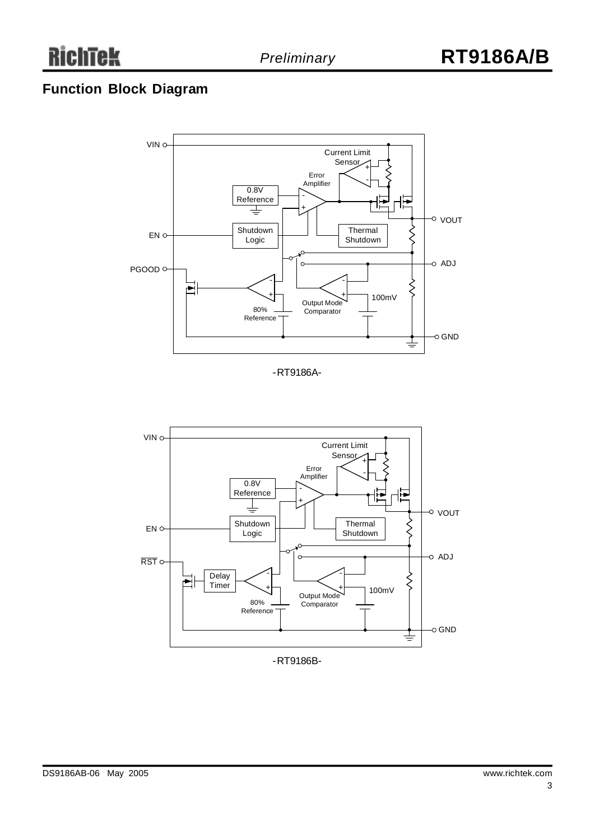### **Function Block Diagram**



-RT9186A-



-RT9186B-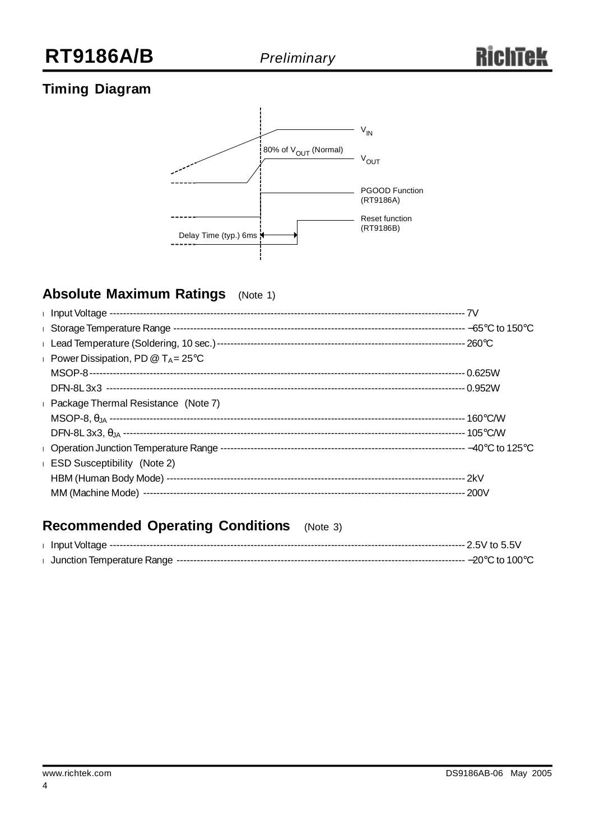### **Timing Diagram**



### **Absolute Maximum Ratings** (Note 1)

| Power Dissipation, PD $@T_A = 25°C$ |  |
|-------------------------------------|--|
|                                     |  |
|                                     |  |
| Package Thermal Resistance (Note 7) |  |
|                                     |  |
|                                     |  |
|                                     |  |
| <b>ESD Susceptibility</b> (Note 2)  |  |
|                                     |  |
|                                     |  |
|                                     |  |

### **Recommended Operating Conditions** (Note 3)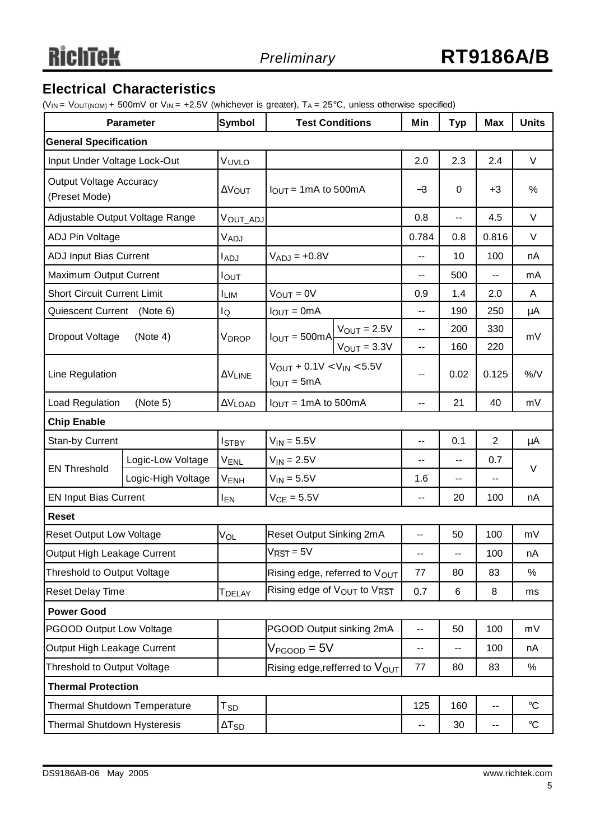### **Electrical Characteristics**

(VIN = VOUT(NOM) + 500mV or V<sub>IN</sub> = +2.5V (whichever is greater),  $T_A = 25^{\circ}C$ , unless otherwise specified)

| <b>Parameter</b>                         |                                                | <b>Symbol</b>      | <b>Test Conditions</b>                                             |                         | Min                      | <b>Typ</b>        | <b>Max</b>     | <b>Units</b>    |  |
|------------------------------------------|------------------------------------------------|--------------------|--------------------------------------------------------------------|-------------------------|--------------------------|-------------------|----------------|-----------------|--|
| <b>General Specification</b>             |                                                |                    |                                                                    |                         |                          |                   |                |                 |  |
| Input Under Voltage Lock-Out             |                                                | VUVLO              |                                                                    |                         | 2.0                      | 2.3               | 2.4            | $\vee$          |  |
| Output Voltage Accuracy<br>(Preset Mode) |                                                | ΔVOUT              | $I_{\text{OUT}}$ = 1mA to 500mA                                    |                         | $-3$                     | 0                 | $+3$           | %               |  |
|                                          | Adjustable Output Voltage Range                | Vout_adj           |                                                                    |                         | 0.8                      | $-$               | 4.5            | $\vee$          |  |
| <b>ADJ Pin Voltage</b>                   |                                                | VADJ               |                                                                    |                         | 0.784                    | 0.8               | 0.816          | V               |  |
| ADJ Input Bias Current                   |                                                | <b>LADJ</b>        | $V_{ADJ} = +0.8V$                                                  |                         | --                       | 10                | 100            | nA              |  |
| Maximum Output Current                   |                                                | I <sub>OUT</sub>   |                                                                    |                         | --                       | 500               | --             | mA              |  |
| <b>Short Circuit Current Limit</b>       |                                                | <b>ILIM</b>        | $V_{OUT} = 0V$                                                     |                         | 0.9                      | 1.4               | 2.0            | A               |  |
| Quiescent Current (Note 6)               |                                                | lQ                 | $I_{OUT} = 0mA$                                                    |                         | --                       | 190               | 250            | $\mu$ A         |  |
| Dropout Voltage                          | (Note 4)                                       |                    | $I_{OUT} = 500mA$                                                  | $V_{\text{OUT}} = 2.5V$ | --                       | 200               | 330            | mV              |  |
|                                          |                                                | VDROP              |                                                                    | $V_{OUT} = 3.3V$        | --                       | 160               | 220            |                 |  |
| Line Regulation                          |                                                | $\Delta V$ LINE    | $V_{OUT} + 0.1V < V_{IN} < 5.5V$<br>$I_{\text{OUT}} = 5 \text{mA}$ |                         | --                       | 0.02              | 0.125          | $\%$ /V         |  |
| Load Regulation<br>(Note 5)              |                                                | $\Delta V$ LOAD    | $I_{OUT} = 1mA$ to 500mA                                           |                         | $\overline{a}$           | 21                | 40             | mV              |  |
| <b>Chip Enable</b>                       |                                                |                    |                                                                    |                         |                          |                   |                |                 |  |
| Stan-by Current                          |                                                | <b>I</b> STBY      | $V_{IN} = 5.5V$                                                    |                         | --                       | 0.1               | $\overline{2}$ | μA              |  |
| <b>EN Threshold</b>                      | Logic-Low Voltage                              | <b>VENL</b>        | $V_{IN} = 2.5V$                                                    |                         | --                       | $-$               | 0.7            | $\vee$          |  |
|                                          | Logic-High Voltage                             | V <sub>ENH</sub>   | $V_{IN} = 5.5V$                                                    |                         | 1.6                      | --                | --             |                 |  |
| <b>EN Input Bias Current</b>             |                                                | <b>IEN</b>         | $V_{CE} = 5.5V$                                                    |                         | --                       | 20                | 100            | nA              |  |
| <b>Reset</b>                             |                                                |                    |                                                                    |                         |                          |                   |                |                 |  |
| <b>Reset Output Low Voltage</b>          |                                                | VOL                | Reset Output Sinking 2mA                                           |                         | $\overline{\phantom{a}}$ | 50                | 100            | mV              |  |
| Output High Leakage Current              |                                                |                    | $V_{\overline{\text{RST}}}$ = 5V                                   |                         | --                       | -−                | 100            | nA              |  |
| Threshold to Output Voltage              |                                                |                    | Rising edge, referred to VOUT                                      |                         | 77                       | 80                | 83             | %               |  |
| <b>Reset Delay Time</b>                  |                                                | T <sub>DELAY</sub> | Rising edge of V <sub>OUT</sub> to VRST                            |                         | 0.7                      | 6                 | 8              | ms              |  |
| <b>Power Good</b>                        |                                                |                    |                                                                    |                         |                          |                   |                |                 |  |
| <b>PGOOD Output Low Voltage</b>          |                                                |                    | PGOOD Output sinking 2mA                                           |                         | --                       | 50                | 100            | mV              |  |
| Output High Leakage Current              |                                                |                    | $V_{\text{PGOOD}} = 5V$                                            |                         | --                       | --                | 100            | nA              |  |
| Threshold to Output Voltage              |                                                |                    | Rising edge, refferred to $V_{\text{OUT}}$                         |                         | 77                       | 80                | 83             | $\%$            |  |
| <b>Thermal Protection</b>                |                                                |                    |                                                                    |                         |                          |                   |                |                 |  |
| Thermal Shutdown Temperature             |                                                | $T_{SD}$           |                                                                    |                         | 125                      | 160               | --             | $\rm ^{\circ}C$ |  |
|                                          | Thermal Shutdown Hysteresis<br>$\Delta T_{SD}$ |                    | --                                                                 | 30                      | $\overline{\phantom{a}}$ | $^\circ \text{C}$ |                |                 |  |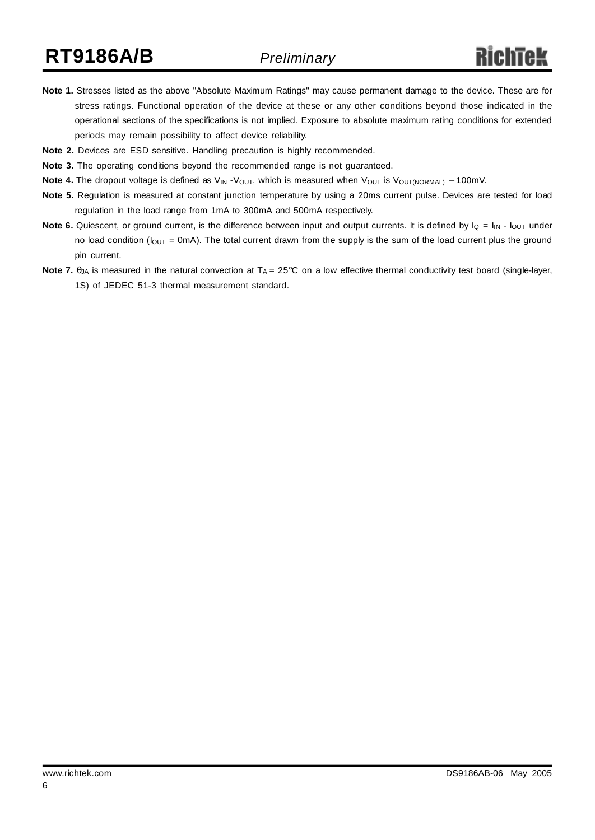- **Note 1.** Stresses listed as the above "Absolute Maximum Ratings" may cause permanent damage to the device. These are for stress ratings. Functional operation of the device at these or any other conditions beyond those indicated in the operational sections of the specifications is not implied. Exposure to absolute maximum rating conditions for extended periods may remain possibility to affect device reliability.
- **Note 2.** Devices are ESD sensitive. Handling precaution is highly recommended.
- **Note 3.** The operating conditions beyond the recommended range is not guaranteed.
- **Note 4.** The dropout voltage is defined as V<sub>IN</sub> V<sub>OUT</sub>, which is measured when V<sub>OUT</sub> is V<sub>OUT(NORMAL)</sub> − 100mV.
- **Note 5.** Regulation is measured at constant junction temperature by using a 20ms current pulse. Devices are tested for load regulation in the load range from 1mA to 300mA and 500mA respectively.
- **Note 6.** Quiescent, or ground current, is the difference between input and output currents. It is defined by  $I_Q = I_{IN}$   $I_{OUT}$  under no load condition ( $I_{\text{OUT}} = 0$ mA). The total current drawn from the supply is the sum of the load current plus the ground pin current.
- Note 7. θ<sub>JA</sub> is measured in the natural convection at T<sub>A</sub> = 25°C on a low effective thermal conductivity test board (single-layer, 1S) of JEDEC 51-3 thermal measurement standard.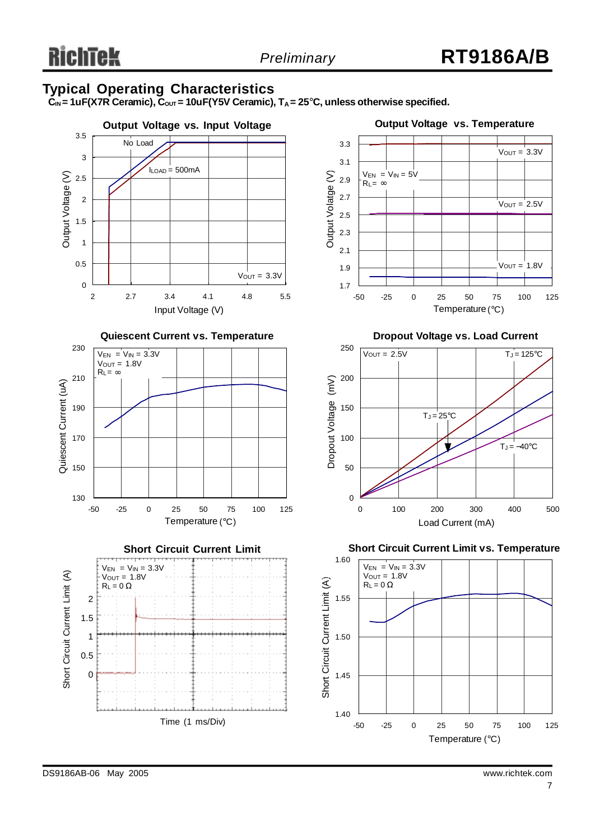#### **Typical Operating Characteristics**

 ${\bf C}_{\sf IN}$  = 1uF(X7R Ceramic),  ${\bf C}_{\sf OUT}$  = 10uF(Y5V Ceramic), T<sub>A</sub> = 25°C, unless otherwise specified.

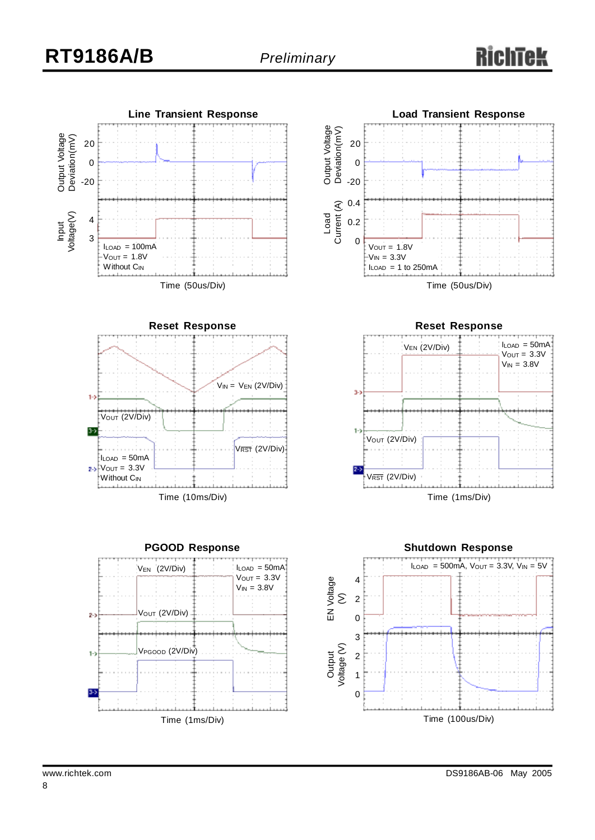# R

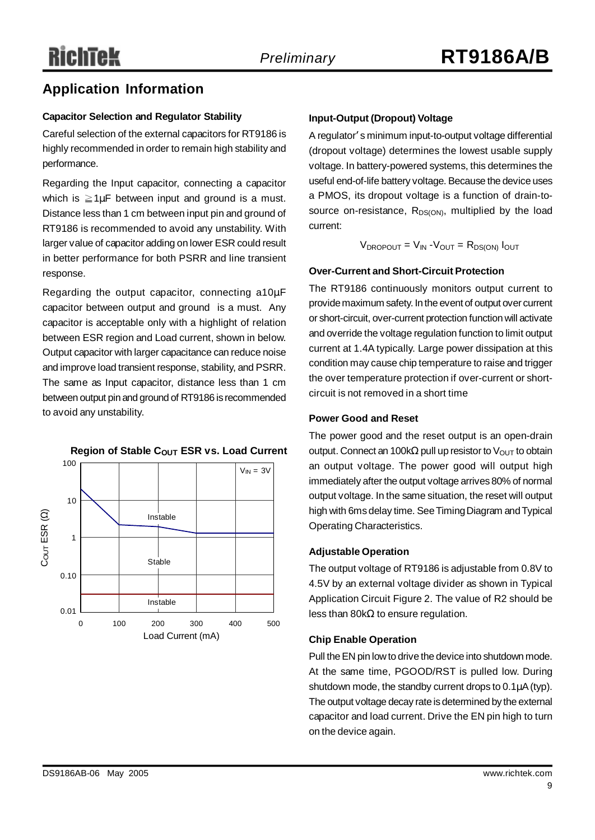### **Application Information**

#### **Capacitor Selection and Regulator Stability**

Careful selection of the external capacitors for RT9186 is highly recommended in order to remain high stability and performance.

Regarding the Input capacitor, connecting a capacitor which is  $\geq 1 \mu$ F between input and ground is a must. Distance less than 1 cm between input pin and ground of RT9186 is recommended to avoid any unstability. With larger value of capacitor adding on lower ESR could result in better performance for both PSRR and line transient response.

Regarding the output capacitor, connecting a10μF capacitor between output and ground is a must. Any capacitor is acceptable only with a highlight of relation between ESR region and Load current, shown in below. Output capacitor with larger capacitance can reduce noise and improve load transient response, stability, and PSRR. The same as Input capacitor, distance less than 1 cm between output pin and ground of RT9186 is recommended to avoid any unstability.



#### **Input-Output (Dropout) Voltage**

A regulator' s minimum input-to-output voltage differential (dropout voltage) determines the lowest usable supply voltage. In battery-powered systems, this determines the useful end-of-life battery voltage. Because the device uses a PMOS, its dropout voltage is a function of drain-tosource on-resistance,  $R_{DS(ON)}$ , multiplied by the load current:

 $V_{\text{DROPOUT}} = V_{\text{IN}} - V_{\text{OUT}} = R_{\text{DS(ON)}}$   $I_{\text{OUT}}$ 

#### **Over-Current and Short-Circuit Protection**

The RT9186 continuously monitors output current to provide maximum safety. In the event of output over current or short-circuit, over-current protection function will activate and override the voltage regulation function to limit output current at 1.4A typically. Large power dissipation at this condition may cause chip temperature to raise and trigger the over temperature protection if over-current or shortcircuit is not removed in a short time

#### **Power Good and Reset**

The power good and the reset output is an open-drain output. Connect an 100kΩ pull up resistor to  $V_{OUT}$  to obtain an output voltage. The power good will output high immediately after the output voltage arrives 80% of normal output voltage. In the same situation, the reset will output high with 6ms delay time. SeeTimingDiagram andTypical Operating Characteristics.

#### **Adjustable Operation**

The output voltage of RT9186 is adjustable from 0.8V to 4.5V by an external voltage divider as shown in Typical Application Circuit Figure 2. The value of R2 should be less than 80kΩ to ensure regulation.

#### **Chip Enable Operation**

Pull the EN pin low to drive the device into shutdown mode. At the same time, PGOOD/RST is pulled low. During shutdown mode, the standby current drops to  $0.1\mu$ A (typ). The output voltage decay rate is determined by the external capacitor and load current. Drive the EN pin high to turn on the device again.

### **Region of Stable C<sub>OUT</sub> ESR vs. Load Current**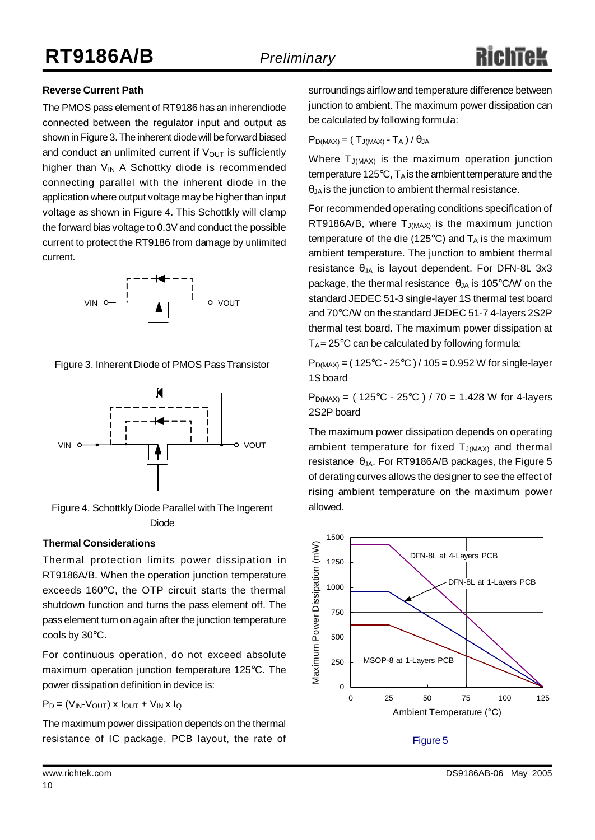#### **Reverse Current Path**

The PMOS pass element of RT9186 has an inherendiode connected between the regulator input and output as shown in Figure 3. The inherent diode will be forward biased and conduct an unlimited current if  $V_{\text{OUT}}$  is sufficiently higher than  $V_{IN}$  A Schottky diode is recommended connecting parallel with the inherent diode in the application where output voltage may be higher than input voltage as shown in Figure 4. This Schottkly will clamp the forward bias voltage to 0.3V and conduct the possible current to protect the RT9186 from damage by unlimited current.



Figure 3. Inherent Diode of PMOS PassTransistor



Figure 4. Schottkly Diode Parallel with The Ingerent Diode

#### **Thermal Considerations**

Thermal protection limits power dissipation in RT9186A/B. When the operation junction temperature exceeds 160°C, the OTP circuit starts the thermal shutdown function and turns the pass element off. The pass element turn on again after the junction temperature cools by 30°C.

For continuous operation, do not exceed absolute maximum operation junction temperature 125°C. The power dissipation definition in device is:

$$
P_D = (V_{IN} \cdot V_{OUT}) \times I_{OUT} + V_{IN} \times I_Q
$$

The maximum power dissipation depends on the thermal resistance of IC package, PCB layout, the rate of Figure 5

surroundings airflow and temperature difference between junction to ambient. The maximum power dissipation can be calculated by following formula:

$$
P_{D(MAX)} = \left(\ T_{J(MAX)} \cdot T_A\ \right)/\ \theta_{JA}
$$

Where  $T_{J(MAX)}$  is the maximum operation junction temperature 125 $\degree$ C, T<sub>A</sub> is the ambient temperature and the  $\theta_{\text{JA}}$  is the junction to ambient thermal resistance.

For recommended operating conditions specification of RT9186A/B, where  $T_{J(MAX)}$  is the maximum junction temperature of the die (125 $\degree$ C) and  $T_A$  is the maximum ambient temperature. The junction to ambient thermal resistance  $\theta_{JA}$  is layout dependent. For DFN-8L 3x3 package, the thermal resistance  $\theta_{JA}$  is 105°C/W on the standard JEDEC 51-3 single-layer 1S thermal test board and 70°C/W on the standard JEDEC 51-7 4-layers 2S2P thermal test board. The maximum power dissipation at  $T_A = 25^{\circ}$ C can be calculated by following formula:

 $P_{D(MAX)} = (125^{\circ}C - 25^{\circ}C) / 105 = 0.952 W$  for single-layer 1S board

 $P_{D(MAX)} = (125^{\circ}C - 25^{\circ}C) / 70 = 1.428$  W for 4-layers 2S2P board

The maximum power dissipation depends on operating ambient temperature for fixed  $T_{J(MAX)}$  and thermal resistance  $\theta_{JA}$ . For RT9186A/B packages, the Figure 5 of derating curves allows the designer to see the effect of rising ambient temperature on the maximum power allowed.



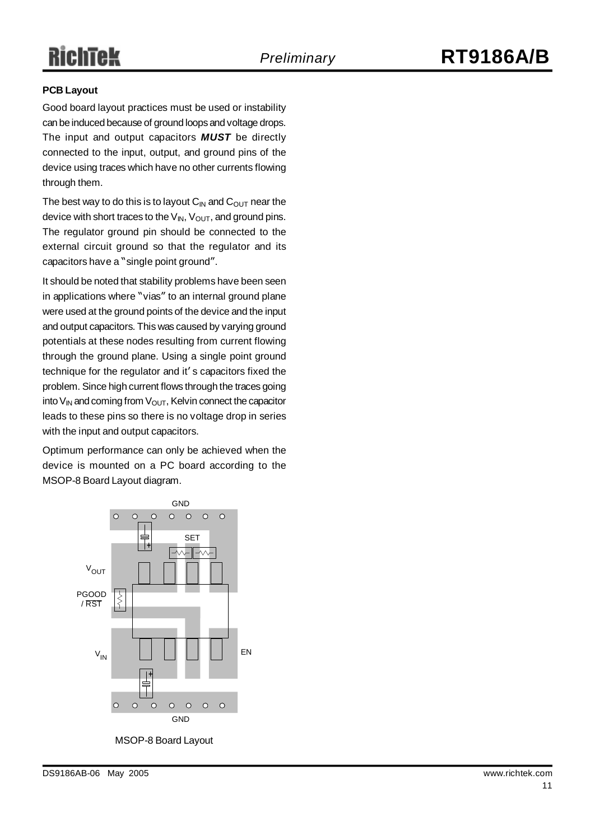# RichTek

#### **PCB Layout**

Good board layout practices must be used or instability can be induced because of ground loops and voltage drops. The input and output capacitors *MUST* be directly connected to the input, output, and ground pins of the device using traces which have no other currents flowing through them.

The best way to do this is to layout  $C_{IN}$  and  $C_{OUT}$  near the device with short traces to the  $V_{\text{IN}}$ ,  $V_{\text{OUT}}$ , and ground pins. The regulator ground pin should be connected to the external circuit ground so that the regulator and its capacitors have a "single point ground".

It should be noted that stability problems have been seen in applications where "vias" to an internal ground plane were used at the ground points of the device and the input and output capacitors. This was caused by varying ground potentials at these nodes resulting from current flowing through the ground plane. Using a single point ground technique for the regulator and it' s capacitors fixed the problem. Since high current flows through the traces going into  $V_{IN}$  and coming from  $V_{OUT}$ , Kelvin connect the capacitor leads to these pins so there is no voltage drop in series with the input and output capacitors.

Optimum performance can only be achieved when the device is mounted on a PC board according to the MSOP-8 Board Layout diagram.



MSOP-8 Board Layout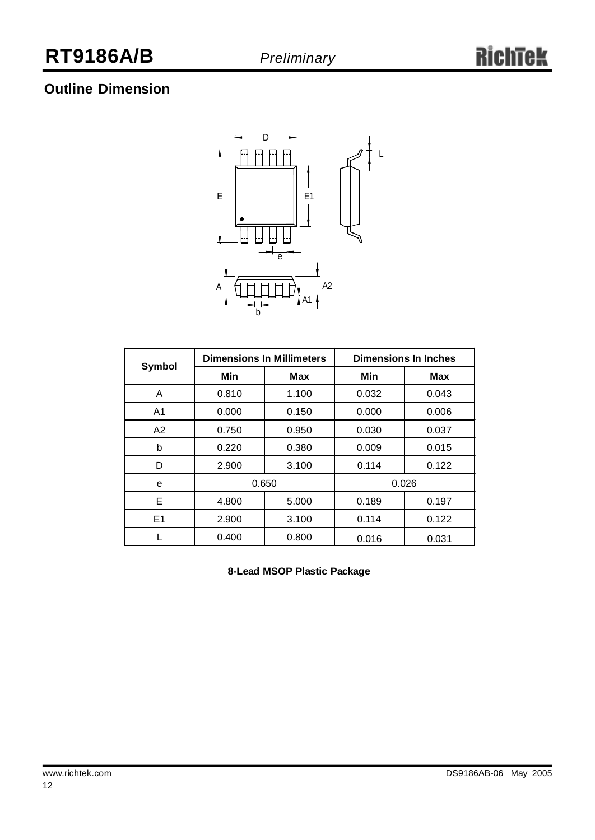### **Outline Dimension**



|                |       | <b>Dimensions In Millimeters</b> | <b>Dimensions In Inches</b> |       |  |
|----------------|-------|----------------------------------|-----------------------------|-------|--|
| Symbol         | Min   | <b>Max</b>                       | Min                         | Max   |  |
| A              | 0.810 | 1.100                            | 0.032                       | 0.043 |  |
| A <sub>1</sub> | 0.000 | 0.150                            | 0.000                       | 0.006 |  |
| A2             | 0.750 | 0.950                            | 0.030                       | 0.037 |  |
| b              | 0.220 | 0.380                            | 0.009                       | 0.015 |  |
| D              | 2.900 | 3.100                            | 0.114                       | 0.122 |  |
| е              | 0.650 |                                  | 0.026                       |       |  |
| Е              | 4.800 | 5.000                            | 0.189                       | 0.197 |  |
| E <sub>1</sub> | 2.900 | 3.100                            | 0.114                       | 0.122 |  |
|                | 0.400 | 0.800                            | 0.016                       | 0.031 |  |

**8-Lead MSOP Plastic Package**